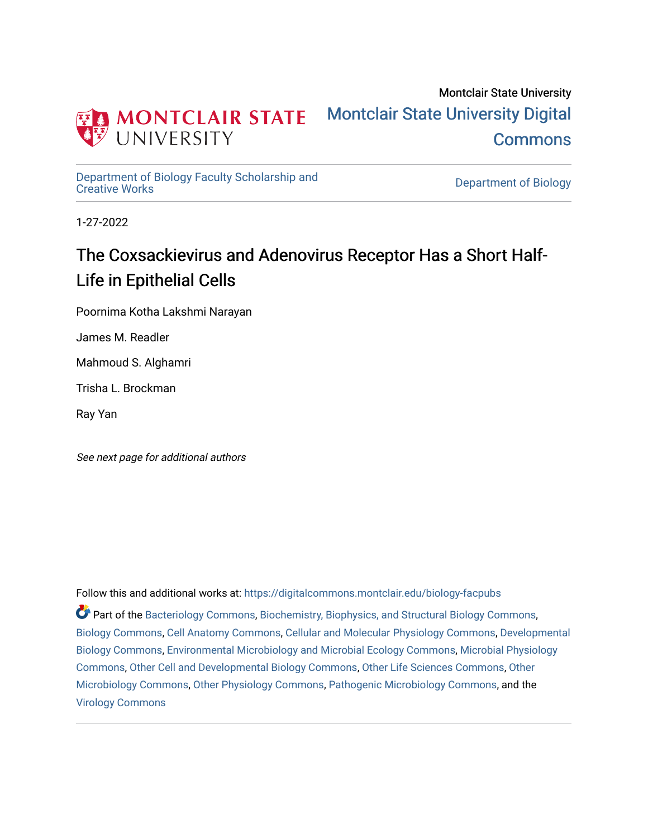

Montclair State University [Montclair State University Digital](https://digitalcommons.montclair.edu/)  **Commons** 

[Department of Biology Faculty Scholarship and](https://digitalcommons.montclair.edu/biology-facpubs) 

Department of Biology

1-27-2022

## The Coxsackievirus and Adenovirus Receptor Has a Short Half-Life in Epithelial Cells

Poornima Kotha Lakshmi Narayan

James M. Readler

Mahmoud S. Alghamri

Trisha L. Brockman

Ray Yan

See next page for additional authors

Follow this and additional works at: [https://digitalcommons.montclair.edu/biology-facpubs](https://digitalcommons.montclair.edu/biology-facpubs?utm_source=digitalcommons.montclair.edu%2Fbiology-facpubs%2F451&utm_medium=PDF&utm_campaign=PDFCoverPages) 

Part of the [Bacteriology Commons](http://network.bepress.com/hgg/discipline/49?utm_source=digitalcommons.montclair.edu%2Fbiology-facpubs%2F451&utm_medium=PDF&utm_campaign=PDFCoverPages), [Biochemistry, Biophysics, and Structural Biology Commons,](http://network.bepress.com/hgg/discipline/1?utm_source=digitalcommons.montclair.edu%2Fbiology-facpubs%2F451&utm_medium=PDF&utm_campaign=PDFCoverPages) [Biology Commons](http://network.bepress.com/hgg/discipline/41?utm_source=digitalcommons.montclair.edu%2Fbiology-facpubs%2F451&utm_medium=PDF&utm_campaign=PDFCoverPages), [Cell Anatomy Commons](http://network.bepress.com/hgg/discipline/9?utm_source=digitalcommons.montclair.edu%2Fbiology-facpubs%2F451&utm_medium=PDF&utm_campaign=PDFCoverPages), [Cellular and Molecular Physiology Commons](http://network.bepress.com/hgg/discipline/70?utm_source=digitalcommons.montclair.edu%2Fbiology-facpubs%2F451&utm_medium=PDF&utm_campaign=PDFCoverPages), [Developmental](http://network.bepress.com/hgg/discipline/11?utm_source=digitalcommons.montclair.edu%2Fbiology-facpubs%2F451&utm_medium=PDF&utm_campaign=PDFCoverPages) [Biology Commons](http://network.bepress.com/hgg/discipline/11?utm_source=digitalcommons.montclair.edu%2Fbiology-facpubs%2F451&utm_medium=PDF&utm_campaign=PDFCoverPages), [Environmental Microbiology and Microbial Ecology Commons,](http://network.bepress.com/hgg/discipline/50?utm_source=digitalcommons.montclair.edu%2Fbiology-facpubs%2F451&utm_medium=PDF&utm_campaign=PDFCoverPages) [Microbial Physiology](http://network.bepress.com/hgg/discipline/51?utm_source=digitalcommons.montclair.edu%2Fbiology-facpubs%2F451&utm_medium=PDF&utm_campaign=PDFCoverPages)  [Commons](http://network.bepress.com/hgg/discipline/51?utm_source=digitalcommons.montclair.edu%2Fbiology-facpubs%2F451&utm_medium=PDF&utm_campaign=PDFCoverPages), [Other Cell and Developmental Biology Commons,](http://network.bepress.com/hgg/discipline/13?utm_source=digitalcommons.montclair.edu%2Fbiology-facpubs%2F451&utm_medium=PDF&utm_campaign=PDFCoverPages) [Other Life Sciences Commons,](http://network.bepress.com/hgg/discipline/113?utm_source=digitalcommons.montclair.edu%2Fbiology-facpubs%2F451&utm_medium=PDF&utm_campaign=PDFCoverPages) [Other](http://network.bepress.com/hgg/discipline/54?utm_source=digitalcommons.montclair.edu%2Fbiology-facpubs%2F451&utm_medium=PDF&utm_campaign=PDFCoverPages) [Microbiology Commons](http://network.bepress.com/hgg/discipline/54?utm_source=digitalcommons.montclair.edu%2Fbiology-facpubs%2F451&utm_medium=PDF&utm_campaign=PDFCoverPages), [Other Physiology Commons](http://network.bepress.com/hgg/discipline/75?utm_source=digitalcommons.montclair.edu%2Fbiology-facpubs%2F451&utm_medium=PDF&utm_campaign=PDFCoverPages), [Pathogenic Microbiology Commons,](http://network.bepress.com/hgg/discipline/52?utm_source=digitalcommons.montclair.edu%2Fbiology-facpubs%2F451&utm_medium=PDF&utm_campaign=PDFCoverPages) and the [Virology Commons](http://network.bepress.com/hgg/discipline/53?utm_source=digitalcommons.montclair.edu%2Fbiology-facpubs%2F451&utm_medium=PDF&utm_campaign=PDFCoverPages)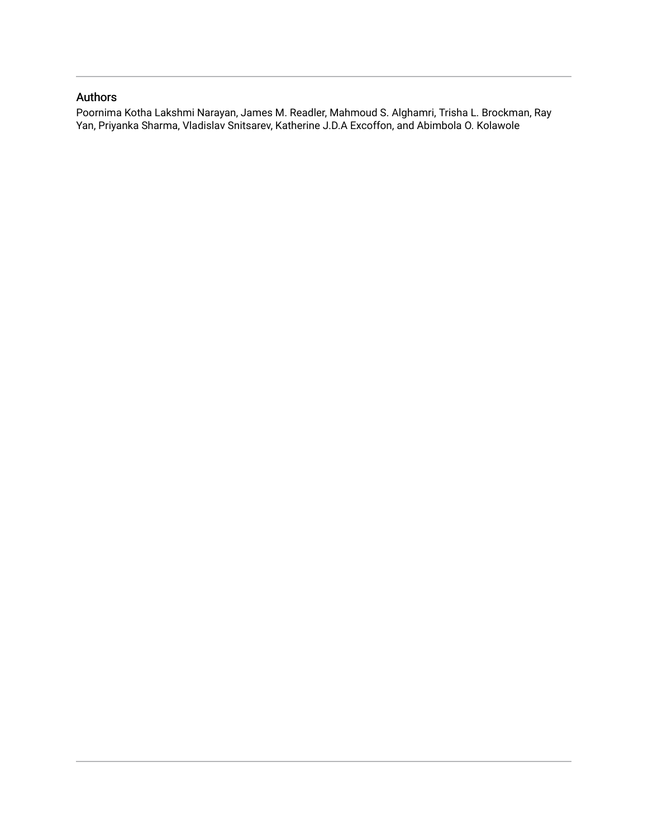## Authors

Poornima Kotha Lakshmi Narayan, James M. Readler, Mahmoud S. Alghamri, Trisha L. Brockman, Ray Yan, Priyanka Sharma, Vladislav Snitsarev, Katherine J.D.A Excoffon, and Abimbola O. Kolawole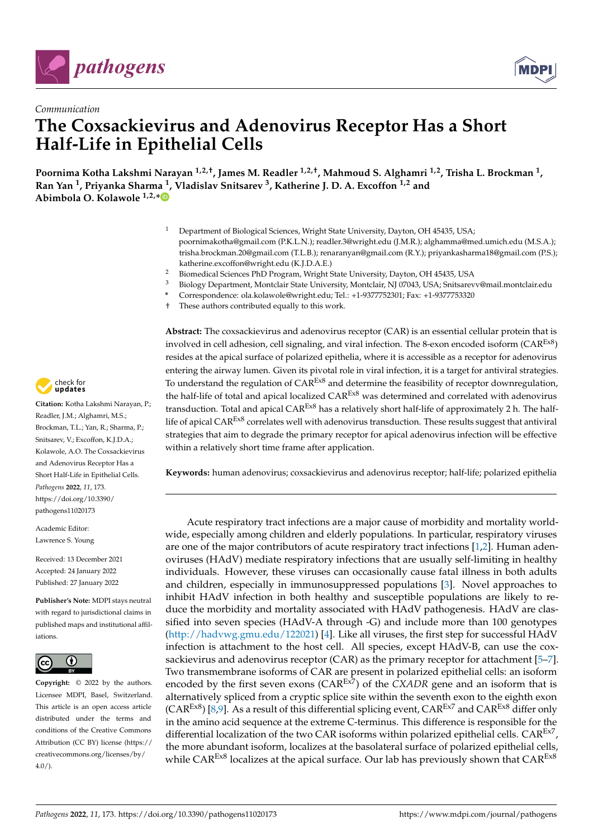



## *Communication* **The Coxsackievirus and Adenovirus Receptor Has a Short Half-Life in Epithelial Cells**

**Poornima Kotha Lakshmi Narayan 1,2,†, James M. Readler 1,2,†, Mahmoud S. Alghamri 1,2, Trisha L. Brockman <sup>1</sup> , Ran Yan <sup>1</sup> , Priyanka Sharma <sup>1</sup> , Vladislav Snitsarev <sup>3</sup> , Katherine J. D. A. Excoffon 1,2 and Abimbola O. Kolawole 1,2,[\\*](https://orcid.org/0000-0001-8520-865X)**

- <sup>1</sup> Department of Biological Sciences, Wright State University, Dayton, OH 45435, USA; poornimakotha@gmail.com (P.K.L.N.); readler.3@wright.edu (J.M.R.); alghamma@med.umich.edu (M.S.A.); trisha.brockman.20@gmail.com (T.L.B.); renaranyan@gmail.com (R.Y.); priyankasharma18@gmail.com (P.S.); katherine.excoffon@wright.edu (K.J.D.A.E.)
- <sup>2</sup> Biomedical Sciences PhD Program, Wright State University, Dayton, OH 45435, USA
- <sup>3</sup> Biology Department, Montclair State University, Montclair, NJ 07043, USA; Snitsarevv@mail.montclair.edu
- **\*** Correspondence: ola.kolawole@wright.edu; Tel.: +1-9377752301; Fax: +1-9377753320
- † These authors contributed equally to this work.

**Abstract:** The coxsackievirus and adenovirus receptor (CAR) is an essential cellular protein that is involved in cell adhesion, cell signaling, and viral infection. The 8-exon encoded isoform ( $CAR<sup>ExB</sup>$ ) resides at the apical surface of polarized epithelia, where it is accessible as a receptor for adenovirus entering the airway lumen. Given its pivotal role in viral infection, it is a target for antiviral strategies. To understand the regulation of  $CAR<sup>Ex8</sup>$  and determine the feasibility of receptor downregulation, the half-life of total and apical localized  $CAR<sup>Ex8</sup>$  was determined and correlated with adenovirus transduction. Total and apical CAR<sup>Ex8</sup> has a relatively short half-life of approximately 2 h. The halflife of apical CAR<sup>Ex8</sup> correlates well with adenovirus transduction. These results suggest that antiviral strategies that aim to degrade the primary receptor for apical adenovirus infection will be effective within a relatively short time frame after application.

**Keywords:** human adenovirus; coxsackievirus and adenovirus receptor; half-life; polarized epithelia

Acute respiratory tract infections are a major cause of morbidity and mortality worldwide, especially among children and elderly populations. In particular, respiratory viruses are one of the major contributors of acute respiratory tract infections [\[1,](#page-7-0)[2\]](#page-7-1). Human adenoviruses (HAdV) mediate respiratory infections that are usually self-limiting in healthy individuals. However, these viruses can occasionally cause fatal illness in both adults and children, especially in immunosuppressed populations [\[3\]](#page-7-2). Novel approaches to inhibit HAdV infection in both healthy and susceptible populations are likely to reduce the morbidity and mortality associated with HAdV pathogenesis. HAdV are classified into seven species (HAdV-A through -G) and include more than 100 genotypes [\(http://hadvwg.gmu.edu/122021\)](http://hadvwg.gmu.edu/122021) [\[4\]](#page-7-3). Like all viruses, the first step for successful HAdV infection is attachment to the host cell. All species, except HAdV-B, can use the coxsackievirus and adenovirus receptor (CAR) as the primary receptor for attachment [\[5](#page-7-4)[–7\]](#page-7-5). Two transmembrane isoforms of CAR are present in polarized epithelial cells: an isoform encoded by the first seven exons  $(CAR^{E\times7})$  of the *CXADR* gene and an isoform that is alternatively spliced from a cryptic splice site within the seventh exon to the eighth exon  $(CAR<sup>Ex8</sup>)$  [\[8](#page-7-6)[,9\]](#page-7-7). As a result of this differential splicing event,  $CAR<sup>Ex7</sup>$  and  $CAR<sup>Ex8</sup>$  differ only in the amino acid sequence at the extreme C-terminus. This difference is responsible for the differential localization of the two CAR isoforms within polarized epithelial cells.  $\text{CAR}^{\text{Ex7}}$ , the more abundant isoform, localizes at the basolateral surface of polarized epithelial cells, while CAR<sup>Ex8</sup> localizes at the apical surface. Our lab has previously shown that CAR<sup>Ex8</sup>



**Citation:** Kotha Lakshmi Narayan, P.; Readler, J.M.; Alghamri, M.S.; Brockman, T.L.; Yan, R.; Sharma, P.; Snitsarev, V.; Excoffon, K.J.D.A.; Kolawole, A.O. The Coxsackievirus and Adenovirus Receptor Has a Short Half-Life in Epithelial Cells. *Pathogens* **2022**, *11*, 173. [https://doi.org/10.3390/](https://doi.org/10.3390/pathogens11020173) [pathogens11020173](https://doi.org/10.3390/pathogens11020173)

Academic Editor: Lawrence S. Young

Received: 13 December 2021 Accepted: 24 January 2022 Published: 27 January 2022

**Publisher's Note:** MDPI stays neutral with regard to jurisdictional claims in published maps and institutional affiliations.



**Copyright:** © 2022 by the authors. Licensee MDPI, Basel, Switzerland. This article is an open access article distributed under the terms and conditions of the Creative Commons Attribution (CC BY) license [\(https://](https://creativecommons.org/licenses/by/4.0/) [creativecommons.org/licenses/by/](https://creativecommons.org/licenses/by/4.0/)  $4.0/$ ).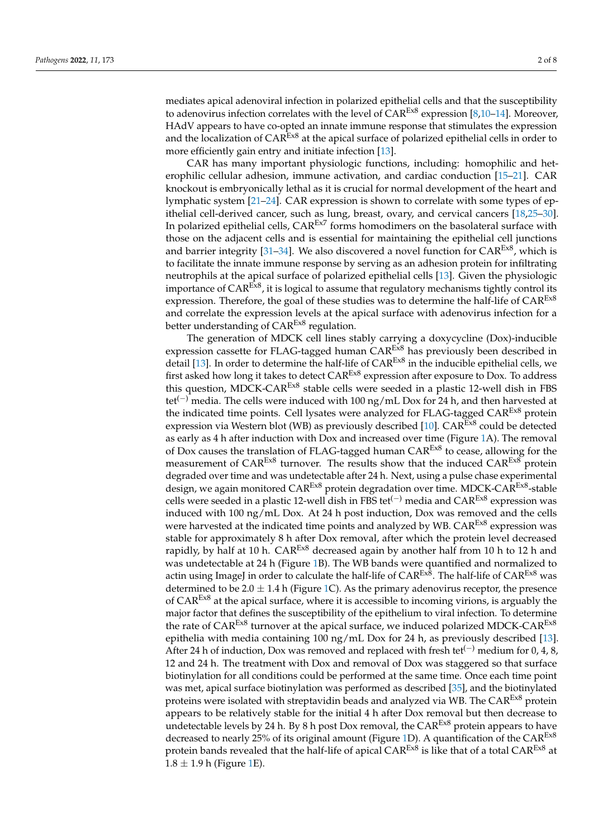mediates apical adenoviral infection in polarized epithelial cells and that the susceptibility to adenovirus infection correlates with the level of  $CAR<sup>Ex8</sup>$  expression [\[8,](#page-7-6)[10](#page-7-8)[–14\]](#page-8-0). Moreover, HAdV appears to have co-opted an innate immune response that stimulates the expression and the localization of  $CAR^{\text{Ex8}}$  at the apical surface of polarized epithelial cells in order to more efficiently gain entry and initiate infection [\[13\]](#page-8-1).

CAR has many important physiologic functions, including: homophilic and heterophilic cellular adhesion, immune activation, and cardiac conduction [\[15](#page-8-2)[–21\]](#page-8-3). CAR knockout is embryonically lethal as it is crucial for normal development of the heart and lymphatic system [\[21](#page-8-3)[–24\]](#page-8-4). CAR expression is shown to correlate with some types of epithelial cell-derived cancer, such as lung, breast, ovary, and cervical cancers [\[18,](#page-8-5)[25](#page-8-6)[–30\]](#page-8-7). In polarized epithelial cells,  $CAR<sup>Ex7</sup>$  forms homodimers on the basolateral surface with those on the adjacent cells and is essential for maintaining the epithelial cell junctions and barrier integrity [\[31–](#page-8-8)[34\]](#page-8-9). We also discovered a novel function for  $CAR<sup>E<sub>x8</sub></sup>$ , which is to facilitate the innate immune response by serving as an adhesion protein for infiltrating neutrophils at the apical surface of polarized epithelial cells [\[13\]](#page-8-1). Given the physiologic importance of CAR<sup>Ex8</sup>, it is logical to assume that regulatory mechanisms tightly control its expression. Therefore, the goal of these studies was to determine the half-life of  $CAR<sup>ExB</sup>$ and correlate the expression levels at the apical surface with adenovirus infection for a better understanding of CAR<sup>Ex8</sup> regulation.

The generation of MDCK cell lines stably carrying a doxycycline (Dox)-inducible expression cassette for FLAG-tagged human CAR<sup>Ex8</sup> has previously been described in detail [\[13\]](#page-8-1). In order to determine the half-life of  $CAR<sup>Ex8</sup>$  in the inducible epithelial cells, we first asked how long it takes to detect  $CAR^{Ex8}$  expression after exposure to Dox. To address this question, MDCK-CAR<sup>Ex8</sup> stable cells were seeded in a plastic 12-well dish in FBS tet<sup>(−)</sup> media. The cells were induced with 100 ng/mL Dox for 24 h, and then harvested at the indicated time points. Cell lysates were analyzed for FLAG-tagged CAR<sup>Ex8</sup> protein expression via Western blot (WB) as previously described [\[10\]](#page-7-8).  $CAR<sup>E\times8</sup>$  could be detected as early as 4 h after induction with Dox and increased over time (Figure [1A](#page-4-0)). The removal of Dox causes the translation of FLAG-tagged human  $CAR<sup>E<sub>x8</sub></sup>$  to cease, allowing for the measurement of  $CAR<sup>Ex8</sup>$  turnover. The results show that the induced  $CAR<sup>Ex8</sup>$  protein degraded over time and was undetectable after 24 h. Next, using a pulse chase experimental design, we again monitored CAR<sup>Ex8</sup> protein degradation over time. MDCK-CAR<sup>Ex8</sup>-stable cells were seeded in a plastic 12-well dish in FBS tet<sup>(-)</sup> media and CAR<sup>Ex8</sup> expression was induced with 100 ng/mL Dox. At 24 h post induction, Dox was removed and the cells were harvested at the indicated time points and analyzed by WB. CAR<sup>Ex8</sup> expression was stable for approximately 8 h after Dox removal, after which the protein level decreased rapidly, by half at 10 h.  $CAR<sup>Ex8</sup>$  decreased again by another half from 10 h to 12 h and was undetectable at 24 h (Figure [1B](#page-4-0)). The WB bands were quantified and normalized to actin using ImageJ in order to calculate the half-life of  $CAR^{\text{Ex8}}$ . The half-life of  $CAR^{\text{Ex8}}$  was determined to be 2.0  $\pm$  1.4 h (Figure [1C](#page-4-0)). As the primary adenovirus receptor, the presence of  $CAR<sup>Ex8</sup>$  at the apical surface, where it is accessible to incoming virions, is arguably the major factor that defines the susceptibility of the epithelium to viral infection. To determine the rate of  $CAR<sup>E<sub>x8</sub></sup>$  turnover at the apical surface, we induced polarized MDCK-CAR<sup>Ex8</sup> epithelia with media containing 100  $\frac{mg}{m}$ . Dox for 24 h, as previously described [\[13\]](#page-8-1). After 24 h of induction, Dox was removed and replaced with fresh tet<sup> $(-)$ </sup> medium for 0, 4, 8, 12 and 24 h. The treatment with Dox and removal of Dox was staggered so that surface biotinylation for all conditions could be performed at the same time. Once each time point was met, apical surface biotinylation was performed as described [\[35\]](#page-8-10), and the biotinylated proteins were isolated with streptavidin beads and analyzed via WB. The  $CAR<sup>Ex8</sup>$  protein appears to be relatively stable for the initial 4 h after Dox removal but then decrease to undetectable levels by 24 h. By 8 h post Dox removal, the  $CAR^{\text{Ex8}}$  protein appears to have decreased to nearly 25% of its original amount (Figure [1D](#page-4-0)). A quantification of the  $CAR^{\text{Ex8}}$ protein bands revealed that the half-life of apical  $CAR^{Ex8}$  is like that of a total  $CAR^{Ex8}$  at  $1.8 \pm 1.9$  h (Figure [1E](#page-4-0)).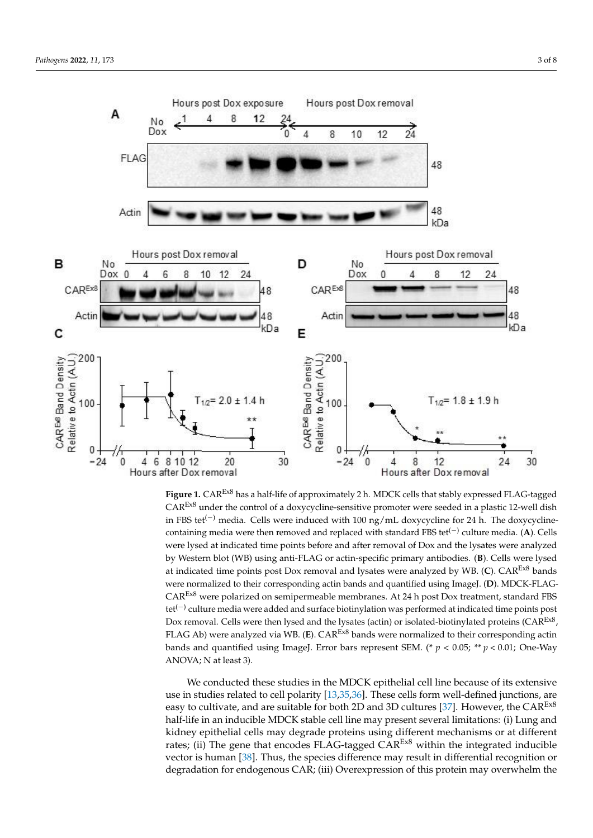<span id="page-4-0"></span>

Figure 1. CAR<sup>Ex8</sup> has a half-life of approximately 2 h. MDCK cells that stably expressed FLAG-tagged  $CAR<sup>Ex8</sup>$  under the control of a doxycycline-sensitive promoter were seeded in a plastic 12-well dish in FBS tet<sup>(−)</sup> media. Cells were induced with 100 ng/mL doxycycline for 24 h. The doxycyclinecontaining media were then removed and replaced with standard FBS tet<sup>(-)</sup> culture media. (**A**). Cells were lysed at indicated time points before and after removal of Dox and the lysates were analyzed by Western blot (WB) using anti-FLAG or actin-specific primary antibodies. (B). Cells were lysed lysed at indicated time points post Dox removal and lysates were analyzed by WB. (**C**). CAREx8 at indicated time points post Dox removal and lysates were analyzed by WB. (**C**). CAREx8 bands bands were normalized to their corresponding actin bands and quantified using ImageJ. (**D**). were normalized to their corresponding actin bands and quantified using ImageJ. (**D**). MDCK-FLAG-WERE NOTHING WERE CONCREDING WHEN DRIVING AND GRAM-CARE IN THE CAREFORE MEMBRANES. AT 24 h post DOX TREATMENT, THE CAREFORE MEMBRANES. AT 24 h post DOX TREATMENT, THE CAREFORE MEMBRANES. AT 24 h post DOX TREATMENT, THE CAR  $CAR<sup>ExB</sup>$  were polarized on semipermeable membranes. At 24 h post Dox treatment, standard FBS tet<sup>(−)</sup> culture media were added and surface biotinylation was performed at indicated time points post Dox removal. Cells were then lysed and the lysates (actin) or isolated-biotinylated proteins (CAR<sup>Ex8</sup>, FLAG Ab) were analyzed via WB. (E). CAR<sup>Ex8</sup> bands were normalized to their corresponding actin bands and quantified using ImageJ. Error bars represent SEM. (\*  $p < 0.05$ ; \*\*  $p < 0.01$ ; One-Way ANOVA; N at least 3).

We conducted these studies in the MDCK epithelial cell line because of its extensive use in studies related to cell polarity  $[13,35,36]$  $[13,35,36]$  $[13,35,36]$ . These cells form well-defined junctions, are easy to cultivate, and are suitable for both 2D and 3D cultures [\[37\]](#page-9-0). However, the  $CAR<sup>Ex8</sup>$ half-life in an inducible MDCK stable cell line may present several limitations: (i) Lung and kidney epithelial cells may degrade proteins using different mechanisms or at different rates; (ii) The gene that encodes FLAG-tagged  $CAR^{\text{Ex8}}$  within the integrated inducible vector is human [\[38\]](#page-9-1). Thus, the species difference may result in differential recognition or degradation for endogenous CAR; (iii) Overexpression of this protein may overwhelm the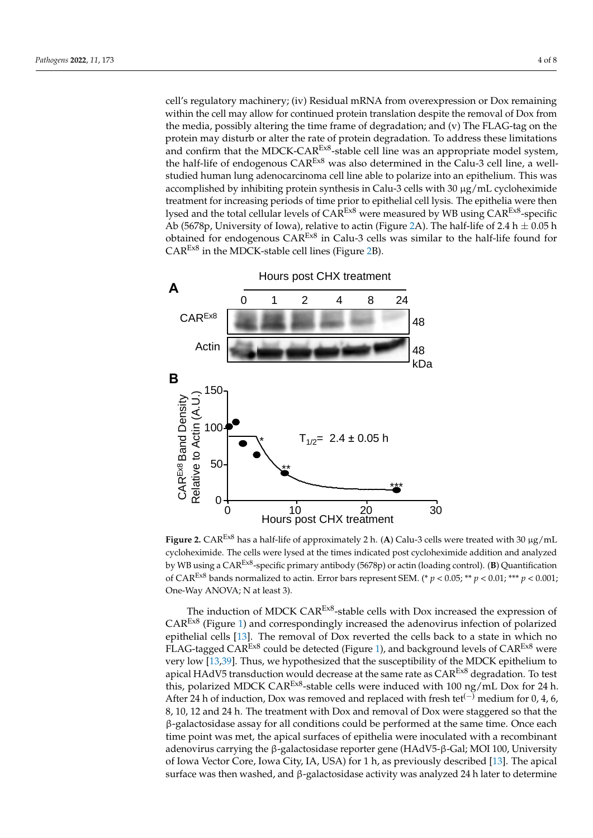cell's regulatory machinery; (iv) Residual mRNA from overexpression or Dox remaining<br>religion the cell may allow for continued protein translation despite the removal of Dou from within the cell may allow for continued protein translation despite the removal of Dox from whill the central diverse continued protein transmitted tespite the removal of Box from the media, possibly altering the time frame of degradation; and (v) The FLAG-tag on the protein may disturb or alter the rate of protein degradation. To address these limitations and confirm that the MDCK-CAR<sup>Ex8</sup>-stable cell line was an appropriate model system, the half-life of endogenous  $CAR<sup>Ex8</sup>$  was also determined in the Calu-3 cell line, a well-In the thing and the contract of the studied human lung adenocarcinoma cell line able to polarize into an epithelium. This was accomplished by inhibiting protein synthesis in Calu-3 cells with 30 μg/mL cycloheximide treatment for increasing periods of time prior to epithelial cell lysis. The epithelia were then lysed and the total cellular levels of  $CAR^{Ex8}$  were measured by WB using  $CAR^{Ex8}$ -specific Ab (5678p, University of Iowa), relative to actin (Figure [2A](#page-5-0)). The half-life of 2.4 h  $\pm$  0.05 h obtained for endogenous  $CAR^{Ex8}$  in Calu-3 cells was similar to the half-life found for  $CAR<sup>Ex8</sup>$  in the MDCK-stable [ce](#page-5-0)ll lines (Figure 2B).

<span id="page-5-0"></span>

Figure 2.  $CAR<sup>Ex8</sup>$  has a half-life of approximately 2 h. (A) Calu-3 cells were treated with 30  $\mu$ g/mL cycloheximide. The cells were lysed at the times indicated post cycloheximide addition and analyzed by WB using a CAR<sup>Ex8</sup>-specific primary antibody (5678p) or actin (loading control). (**B**) Quantification of CAR<sup>Ex8</sup> bands normalized to actin. Error bars represent SEM. (\*  $p < 0.05$ ; \*\*  $p < 0.01$ ; \*\*\*  $p < 0.001$ ; One-Way ANOVA; N at least 3).

The induction of MDCK CAR<sup>Ex8</sup>-stable cells with Dox increased the expression of  $CAR<sup>Ex8</sup>$  (Figure 1[\) a](#page-4-0)nd correspondingly increased the adenovirus infection of polarized epithelial cells  $[13]$ . The removal of Dox reverted the cells back to a state in which no FLAG-tagged CAR<sup>Ex8</sup> could be detected (Figure [1\)](#page-4-0), and background levels of  $CAR<sup>Ex8</sup>$  were very low [\[13,](#page-8-1)[39\]](#page-9-2). Thus, we hypothesized that the susceptibility of the MDCK epithelium to apical HAdV5 transduction would decrease at the same rate as  $CAR<sup>E<sub>x8</sub></sup>$  degradation. To test this, polarized MDCK CAR<sup>Ex8</sup>-stable cells were induced with 100 ng/mL Dox for 24 h. After 24 h of induction, Dox was removed and replaced with fresh tet<sup> $(-)$ </sup> medium for 0, 4, 6, 6, 8, 10, 12 and 24 h. The treatment with Dox and removal of Dox were staggered so that 8, 10, 12 and 24 h. The treatment with Dox and removal of Dox were staggered so that the the β-galactosidase assay for all conditions could be performed at the same time. Once β-galactosidase assay for all conditions could be performed at the same time. Once each time point was met, the apical surfaces of epithelia were inoculated with a recombinant adenovirus carrying the β-galactosidase reporter gene (HAdV5-β-Gal; MOI 100, University of Iowa Vector Core, Iowa City, IA, USA) for 1 h, as previously described [\[13\]](#page-8-1). The apical surface was then washed, and β-galactosidase activity was analyzed 24 h later to determine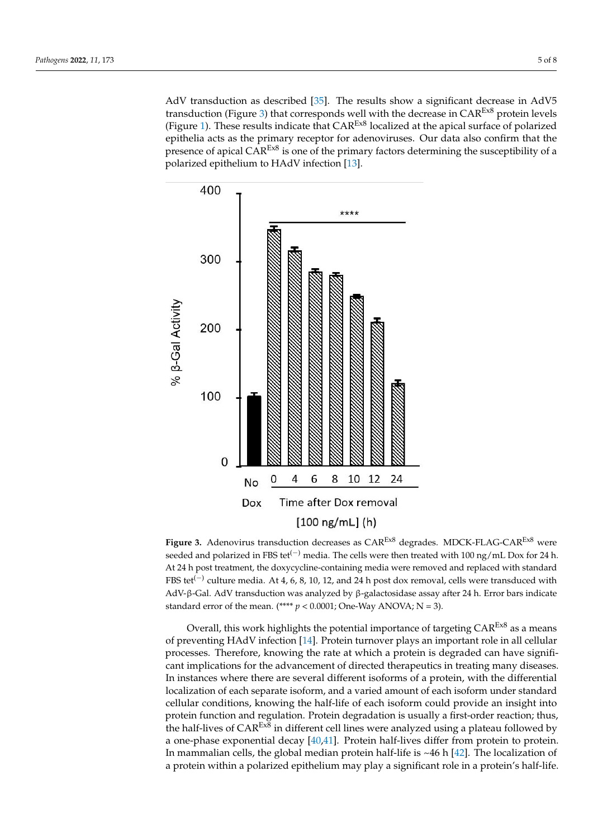AdV transduction as [desc](#page-8-10)ribed [35]. The results show a significant decrease in AdV5 transduction ([Fi](#page-6-0)gure 3) that corresponds well with the decrease in  $CAR<sup>E<sub>x8</sub></sup>$  protein levels ([Fig](#page-4-0)ure 1). These results indicate that  $CAR^{\text{Ex8}}$  localized at the apical surface of polarized epithelia acts as the primary receptor for adenoviruses. Our data also confirm that the presence of apical CAR<sup>Ex8</sup> is one of the primary factors determining the susceptibility of a polarized epithelium to HAdV infection [\[13\]](#page-8-1).

<span id="page-6-0"></span>

**Figure 3.** Adenovirus transduction decreases as CAREx8 degrades. MDCK-FLAG-CAREx8 were **Figure 3.** Adenovirus transduction decreases as CAREx8 degrades. MDCK-FLAG-CAREx8 were seeded and polarized in FBS tet<sup>(-)</sup> media. The cells were then treated with 100 ng/mL Dox for 24 h. At 24 h post treatment, the doxycycline-containing media were removed and replaced with standard FBS tet<sup>(-)</sup> culture media. At 4, 6, 8, 10, 12, and 24 h post dox removal, cells were transduced with AdV-β-Gal. AdV transduction was analyzed by β-galactosidase assay after 24 h. Error bars indicate AdV-β-Gal. AdV transduction was analyzed by β-galactosidase assay after 24 h. Error bars indicate standard error of the mean. (\*\*\*\*  $p < 0.0001$ ; One-Way ANOVA; N = 3).

Overall, this work highlights the potential importance of targeting  $CAR<sup>Ex8</sup>$  as a means of preventing HAdV infection [\[14\]](#page-8-0). Protein turnover plays an important role in all cellular of preventing HAdV infection [14]. Protein turnover plays an important role in all cellular processes. Therefore, knowing the rate at which a protein is degraded can have significant implications for the advancement of directed therapeutics in treating many diseases. In instances where there are several different isoforms of a protein, with the differential localization of each separate isoform, and a varied amount of each isoform under standard cellular conditions, knowing the half-life of each isoform could provide an insight into cellular conditions, knowing the half-life of each isoform could provide an insight into protein function and regulation. Protein degradation is usually a first-order reaction; thus, protein function and regulation. Protein degradation is usually a first-order reaction; thus, the half-lives of CAR<sup>Ex8</sup> in different cell lines were analyzed using a plateau followed by a one-phase exponential decay [\[40,](#page-9-3)[41\]](#page-9-4). Protein half-lives differ from protein to protein. In mammalian cells, the global median protein half-life is  $~46$  h [\[42\]](#page-9-5). The localization of protein within a polarized epithelium may play a significant role in a protein's half-life. a protein within a polarized epithelium may play a significant role in a protein's half-life.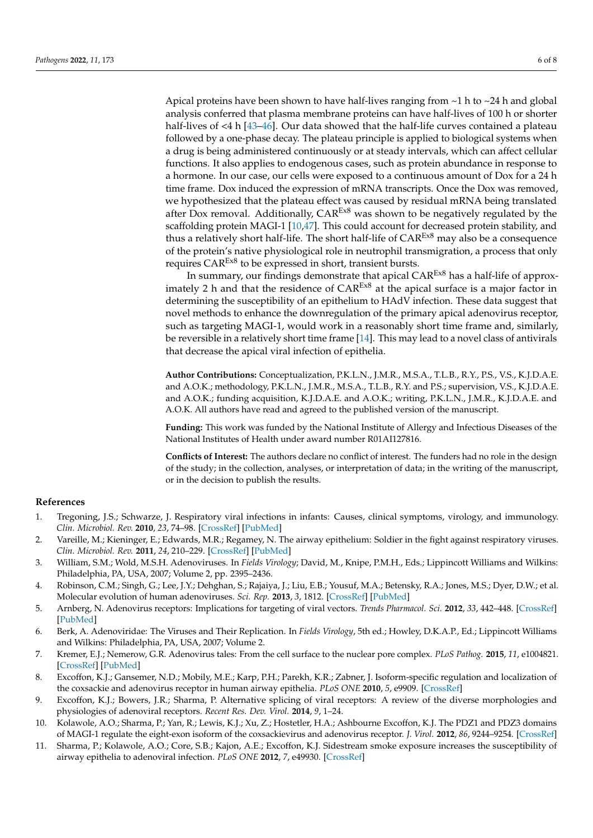Apical proteins have been shown to have half-lives ranging from  $\sim$ 1 h to  $\sim$ 24 h and global analysis conferred that plasma membrane proteins can have half-lives of 100 h or shorter half-lives of <4 h [\[43](#page-9-6)[–46\]](#page-9-7). Our data showed that the half-life curves contained a plateau followed by a one-phase decay. The plateau principle is applied to biological systems when a drug is being administered continuously or at steady intervals, which can affect cellular functions. It also applies to endogenous cases, such as protein abundance in response to a hormone. In our case, our cells were exposed to a continuous amount of Dox for a 24 h time frame. Dox induced the expression of mRNA transcripts. Once the Dox was removed, we hypothesized that the plateau effect was caused by residual mRNA being translated after Dox removal. Additionally, CAREx8 was shown to be negatively regulated by the scaffolding protein MAGI-1 [\[10,](#page-7-8)[47\]](#page-9-8). This could account for decreased protein stability, and thus a relatively short half-life. The short half-life of  $CAR^{\text{Ex8}}$  may also be a consequence of the protein's native physiological role in neutrophil transmigration, a process that only requires CAR<sup>Ex8</sup> to be expressed in short, transient bursts.

In summary, our findings demonstrate that apical CAREx8 has a half-life of approximately 2 h and that the residence of  $CAR<sup>ExB</sup>$  at the apical surface is a major factor in determining the susceptibility of an epithelium to HAdV infection. These data suggest that novel methods to enhance the downregulation of the primary apical adenovirus receptor, such as targeting MAGI-1, would work in a reasonably short time frame and, similarly, be reversible in a relatively short time frame [\[14\]](#page-8-0). This may lead to a novel class of antivirals that decrease the apical viral infection of epithelia.

**Author Contributions:** Conceptualization, P.K.L.N., J.M.R., M.S.A., T.L.B., R.Y., P.S., V.S., K.J.D.A.E. and A.O.K.; methodology, P.K.L.N., J.M.R., M.S.A., T.L.B., R.Y. and P.S.; supervision, V.S., K.J.D.A.E. and A.O.K.; funding acquisition, K.J.D.A.E. and A.O.K.; writing, P.K.L.N., J.M.R., K.J.D.A.E. and A.O.K. All authors have read and agreed to the published version of the manuscript.

**Funding:** This work was funded by the National Institute of Allergy and Infectious Diseases of the National Institutes of Health under award number R01AI127816.

**Conflicts of Interest:** The authors declare no conflict of interest. The funders had no role in the design of the study; in the collection, analyses, or interpretation of data; in the writing of the manuscript, or in the decision to publish the results.

## **References**

- <span id="page-7-0"></span>1. Tregoning, J.S.; Schwarze, J. Respiratory viral infections in infants: Causes, clinical symptoms, virology, and immunology. *Clin. Microbiol. Rev.* **2010**, *23*, 74–98. [\[CrossRef\]](http://doi.org/10.1128/CMR.00032-09) [\[PubMed\]](http://www.ncbi.nlm.nih.gov/pubmed/20065326)
- <span id="page-7-1"></span>2. Vareille, M.; Kieninger, E.; Edwards, M.R.; Regamey, N. The airway epithelium: Soldier in the fight against respiratory viruses. *Clin. Microbiol. Rev.* **2011**, *24*, 210–229. [\[CrossRef\]](http://doi.org/10.1128/CMR.00014-10) [\[PubMed\]](http://www.ncbi.nlm.nih.gov/pubmed/21233513)
- <span id="page-7-2"></span>3. William, S.M.; Wold, M.S.H. Adenoviruses. In *Fields Virology*; David, M., Knipe, P.M.H., Eds.; Lippincott Williams and Wilkins: Philadelphia, PA, USA, 2007; Volume 2, pp. 2395–2436.
- <span id="page-7-3"></span>4. Robinson, C.M.; Singh, G.; Lee, J.Y.; Dehghan, S.; Rajaiya, J.; Liu, E.B.; Yousuf, M.A.; Betensky, R.A.; Jones, M.S.; Dyer, D.W.; et al. Molecular evolution of human adenoviruses. *Sci. Rep.* **2013**, *3*, 1812. [\[CrossRef\]](http://doi.org/10.1038/srep01812) [\[PubMed\]](http://www.ncbi.nlm.nih.gov/pubmed/23657240)
- <span id="page-7-4"></span>5. Arnberg, N. Adenovirus receptors: Implications for targeting of viral vectors. *Trends Pharmacol. Sci.* **2012**, *33*, 442–448. [\[CrossRef\]](http://doi.org/10.1016/j.tips.2012.04.005) [\[PubMed\]](http://www.ncbi.nlm.nih.gov/pubmed/22621975)
- 6. Berk, A. Adenoviridae: The Viruses and Their Replication. In *Fields Virology*, 5th ed.; Howley, D.K.A.P., Ed.; Lippincott Williams and Wilkins: Philadelphia, PA, USA, 2007; Volume 2.
- <span id="page-7-5"></span>7. Kremer, E.J.; Nemerow, G.R. Adenovirus tales: From the cell surface to the nuclear pore complex. *PLoS Pathog.* **2015**, *11*, e1004821. [\[CrossRef\]](http://doi.org/10.1371/journal.ppat.1004821) [\[PubMed\]](http://www.ncbi.nlm.nih.gov/pubmed/26042599)
- <span id="page-7-6"></span>8. Excoffon, K.J.; Gansemer, N.D.; Mobily, M.E.; Karp, P.H.; Parekh, K.R.; Zabner, J. Isoform-specific regulation and localization of the coxsackie and adenovirus receptor in human airway epithelia. *PLoS ONE* **2010**, *5*, e9909. [\[CrossRef\]](http://doi.org/10.1371/journal.pone.0009909)
- <span id="page-7-7"></span>9. Excoffon, K.J.; Bowers, J.R.; Sharma, P. Alternative splicing of viral receptors: A review of the diverse morphologies and physiologies of adenoviral receptors. *Recent Res. Dev. Virol.* **2014**, *9*, 1–24.
- <span id="page-7-8"></span>10. Kolawole, A.O.; Sharma, P.; Yan, R.; Lewis, K.J.; Xu, Z.; Hostetler, H.A.; Ashbourne Excoffon, K.J. The PDZ1 and PDZ3 domains of MAGI-1 regulate the eight-exon isoform of the coxsackievirus and adenovirus receptor. *J. Virol.* **2012**, *86*, 9244–9254. [\[CrossRef\]](http://doi.org/10.1128/JVI.01138-12)
- 11. Sharma, P.; Kolawole, A.O.; Core, S.B.; Kajon, A.E.; Excoffon, K.J. Sidestream smoke exposure increases the susceptibility of airway epithelia to adenoviral infection. *PLoS ONE* **2012**, *7*, e49930. [\[CrossRef\]](http://doi.org/10.1371/journal.pone.0049930)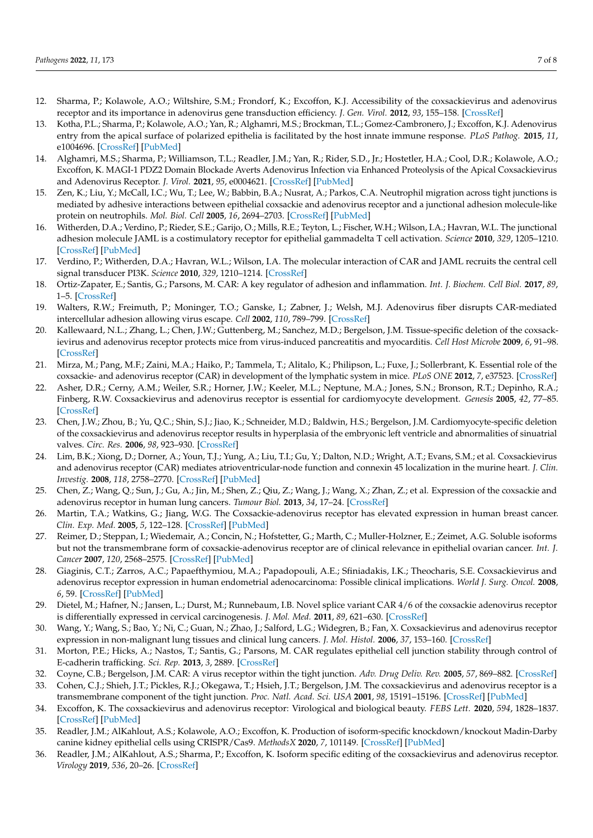- 12. Sharma, P.; Kolawole, A.O.; Wiltshire, S.M.; Frondorf, K.; Excoffon, K.J. Accessibility of the coxsackievirus and adenovirus receptor and its importance in adenovirus gene transduction efficiency. *J. Gen. Virol.* **2012**, *93*, 155–158. [\[CrossRef\]](http://doi.org/10.1099/vir.0.036269-0)
- <span id="page-8-1"></span>13. Kotha, P.L.; Sharma, P.; Kolawole, A.O.; Yan, R.; Alghamri, M.S.; Brockman, T.L.; Gomez-Cambronero, J.; Excoffon, K.J. Adenovirus entry from the apical surface of polarized epithelia is facilitated by the host innate immune response. *PLoS Pathog.* **2015**, *11*, e1004696. [\[CrossRef\]](http://doi.org/10.1371/journal.ppat.1004696) [\[PubMed\]](http://www.ncbi.nlm.nih.gov/pubmed/25768646)
- <span id="page-8-0"></span>14. Alghamri, M.S.; Sharma, P.; Williamson, T.L.; Readler, J.M.; Yan, R.; Rider, S.D., Jr.; Hostetler, H.A.; Cool, D.R.; Kolawole, A.O.; Excoffon, K. MAGI-1 PDZ2 Domain Blockade Averts Adenovirus Infection via Enhanced Proteolysis of the Apical Coxsackievirus and Adenovirus Receptor. *J. Virol.* **2021**, *95*, e0004621. [\[CrossRef\]](http://doi.org/10.1128/JVI.00046-21) [\[PubMed\]](http://www.ncbi.nlm.nih.gov/pubmed/33762416)
- <span id="page-8-2"></span>15. Zen, K.; Liu, Y.; McCall, I.C.; Wu, T.; Lee, W.; Babbin, B.A.; Nusrat, A.; Parkos, C.A. Neutrophil migration across tight junctions is mediated by adhesive interactions between epithelial coxsackie and adenovirus receptor and a junctional adhesion molecule-like protein on neutrophils. *Mol. Biol. Cell* **2005**, *16*, 2694–2703. [\[CrossRef\]](http://doi.org/10.1091/mbc.e05-01-0036) [\[PubMed\]](http://www.ncbi.nlm.nih.gov/pubmed/15800062)
- 16. Witherden, D.A.; Verdino, P.; Rieder, S.E.; Garijo, O.; Mills, R.E.; Teyton, L.; Fischer, W.H.; Wilson, I.A.; Havran, W.L. The junctional adhesion molecule JAML is a costimulatory receptor for epithelial gammadelta T cell activation. *Science* **2010**, *329*, 1205–1210. [\[CrossRef\]](http://doi.org/10.1126/science.1192698) [\[PubMed\]](http://www.ncbi.nlm.nih.gov/pubmed/20813954)
- 17. Verdino, P.; Witherden, D.A.; Havran, W.L.; Wilson, I.A. The molecular interaction of CAR and JAML recruits the central cell signal transducer PI3K. *Science* **2010**, *329*, 1210–1214. [\[CrossRef\]](http://doi.org/10.1126/science.1187996)
- <span id="page-8-5"></span>18. Ortiz-Zapater, E.; Santis, G.; Parsons, M. CAR: A key regulator of adhesion and inflammation. *Int. J. Biochem. Cell Biol.* **2017**, *89*, 1–5. [\[CrossRef\]](http://doi.org/10.1016/j.biocel.2017.05.025)
- 19. Walters, R.W.; Freimuth, P.; Moninger, T.O.; Ganske, I.; Zabner, J.; Welsh, M.J. Adenovirus fiber disrupts CAR-mediated intercellular adhesion allowing virus escape. *Cell* **2002**, *110*, 789–799. [\[CrossRef\]](http://doi.org/10.1016/S0092-8674(02)00912-1)
- 20. Kallewaard, N.L.; Zhang, L.; Chen, J.W.; Guttenberg, M.; Sanchez, M.D.; Bergelson, J.M. Tissue-specific deletion of the coxsackievirus and adenovirus receptor protects mice from virus-induced pancreatitis and myocarditis. *Cell Host Microbe* **2009**, *6*, 91–98. [\[CrossRef\]](http://doi.org/10.1016/j.chom.2009.05.018)
- <span id="page-8-3"></span>21. Mirza, M.; Pang, M.F.; Zaini, M.A.; Haiko, P.; Tammela, T.; Alitalo, K.; Philipson, L.; Fuxe, J.; Sollerbrant, K. Essential role of the coxsackie- and adenovirus receptor (CAR) in development of the lymphatic system in mice. *PLoS ONE* **2012**, *7*, e37523. [\[CrossRef\]](http://doi.org/10.1371/journal.pone.0037523)
- 22. Asher, D.R.; Cerny, A.M.; Weiler, S.R.; Horner, J.W.; Keeler, M.L.; Neptune, M.A.; Jones, S.N.; Bronson, R.T.; Depinho, R.A.; Finberg, R.W. Coxsackievirus and adenovirus receptor is essential for cardiomyocyte development. *Genesis* **2005**, *42*, 77–85. [\[CrossRef\]](http://doi.org/10.1002/gene.20127)
- 23. Chen, J.W.; Zhou, B.; Yu, Q.C.; Shin, S.J.; Jiao, K.; Schneider, M.D.; Baldwin, H.S.; Bergelson, J.M. Cardiomyocyte-specific deletion of the coxsackievirus and adenovirus receptor results in hyperplasia of the embryonic left ventricle and abnormalities of sinuatrial valves. *Circ. Res.* **2006**, *98*, 923–930. [\[CrossRef\]](http://doi.org/10.1161/01.RES.0000218041.41932.e3)
- <span id="page-8-4"></span>24. Lim, B.K.; Xiong, D.; Dorner, A.; Youn, T.J.; Yung, A.; Liu, T.I.; Gu, Y.; Dalton, N.D.; Wright, A.T.; Evans, S.M.; et al. Coxsackievirus and adenovirus receptor (CAR) mediates atrioventricular-node function and connexin 45 localization in the murine heart. *J. Clin. Investig.* **2008**, *118*, 2758–2770. [\[CrossRef\]](http://doi.org/10.1172/JCI34777) [\[PubMed\]](http://www.ncbi.nlm.nih.gov/pubmed/18636119)
- <span id="page-8-6"></span>25. Chen, Z.; Wang, Q.; Sun, J.; Gu, A.; Jin, M.; Shen, Z.; Qiu, Z.; Wang, J.; Wang, X.; Zhan, Z.; et al. Expression of the coxsackie and adenovirus receptor in human lung cancers. *Tumour Biol.* **2013**, *34*, 17–24. [\[CrossRef\]](http://doi.org/10.1007/s13277-012-0342-2)
- 26. Martin, T.A.; Watkins, G.; Jiang, W.G. The Coxsackie-adenovirus receptor has elevated expression in human breast cancer. *Clin. Exp. Med.* **2005**, *5*, 122–128. [\[CrossRef\]](http://doi.org/10.1007/s10238-005-0076-1) [\[PubMed\]](http://www.ncbi.nlm.nih.gov/pubmed/16284735)
- 27. Reimer, D.; Steppan, I.; Wiedemair, A.; Concin, N.; Hofstetter, G.; Marth, C.; Muller-Holzner, E.; Zeimet, A.G. Soluble isoforms but not the transmembrane form of coxsackie-adenovirus receptor are of clinical relevance in epithelial ovarian cancer. *Int. J. Cancer* **2007**, *120*, 2568–2575. [\[CrossRef\]](http://doi.org/10.1002/ijc.22580) [\[PubMed\]](http://www.ncbi.nlm.nih.gov/pubmed/17278108)
- 28. Giaginis, C.T.; Zarros, A.C.; Papaefthymiou, M.A.; Papadopouli, A.E.; Sfiniadakis, I.K.; Theocharis, S.E. Coxsackievirus and adenovirus receptor expression in human endometrial adenocarcinoma: Possible clinical implications. *World J. Surg. Oncol.* **2008**, *6*, 59. [\[CrossRef\]](http://doi.org/10.1186/1477-7819-6-59) [\[PubMed\]](http://www.ncbi.nlm.nih.gov/pubmed/18558015)
- 29. Dietel, M.; Hafner, N.; Jansen, L.; Durst, M.; Runnebaum, I.B. Novel splice variant CAR 4/6 of the coxsackie adenovirus receptor is differentially expressed in cervical carcinogenesis. *J. Mol. Med.* **2011**, *89*, 621–630. [\[CrossRef\]](http://doi.org/10.1007/s00109-011-0742-6)
- <span id="page-8-7"></span>30. Wang, Y.; Wang, S.; Bao, Y.; Ni, C.; Guan, N.; Zhao, J.; Salford, L.G.; Widegren, B.; Fan, X. Coxsackievirus and adenovirus receptor expression in non-malignant lung tissues and clinical lung cancers. *J. Mol. Histol.* **2006**, *37*, 153–160. [\[CrossRef\]](http://doi.org/10.1007/s10735-006-9055-4)
- <span id="page-8-8"></span>31. Morton, P.E.; Hicks, A.; Nastos, T.; Santis, G.; Parsons, M. CAR regulates epithelial cell junction stability through control of E-cadherin trafficking. *Sci. Rep.* **2013**, *3*, 2889. [\[CrossRef\]](http://doi.org/10.1038/srep02889)
- 32. Coyne, C.B.; Bergelson, J.M. CAR: A virus receptor within the tight junction. *Adv. Drug Deliv. Rev.* **2005**, *57*, 869–882. [\[CrossRef\]](http://doi.org/10.1016/j.addr.2005.01.007)
- 33. Cohen, C.J.; Shieh, J.T.; Pickles, R.J.; Okegawa, T.; Hsieh, J.T.; Bergelson, J.M. The coxsackievirus and adenovirus receptor is a transmembrane component of the tight junction. *Proc. Natl. Acad. Sci. USA* **2001**, *98*, 15191–15196. [\[CrossRef\]](http://doi.org/10.1073/pnas.261452898) [\[PubMed\]](http://www.ncbi.nlm.nih.gov/pubmed/11734628)
- <span id="page-8-9"></span>34. Excoffon, K. The coxsackievirus and adenovirus receptor: Virological and biological beauty. *FEBS Lett.* **2020**, *594*, 1828–1837. [\[CrossRef\]](http://doi.org/10.1002/1873-3468.13794) [\[PubMed\]](http://www.ncbi.nlm.nih.gov/pubmed/32298477)
- <span id="page-8-10"></span>35. Readler, J.M.; AlKahlout, A.S.; Kolawole, A.O.; Excoffon, K. Production of isoform-specific knockdown/knockout Madin-Darby canine kidney epithelial cells using CRISPR/Cas9. *MethodsX* **2020**, *7*, 101149. [\[CrossRef\]](http://doi.org/10.1016/j.mex.2020.101149) [\[PubMed\]](http://www.ncbi.nlm.nih.gov/pubmed/33304833)
- <span id="page-8-11"></span>36. Readler, J.M.; AlKahlout, A.S.; Sharma, P.; Excoffon, K. Isoform specific editing of the coxsackievirus and adenovirus receptor. *Virology* **2019**, *536*, 20–26. [\[CrossRef\]](http://doi.org/10.1016/j.virol.2019.07.018)